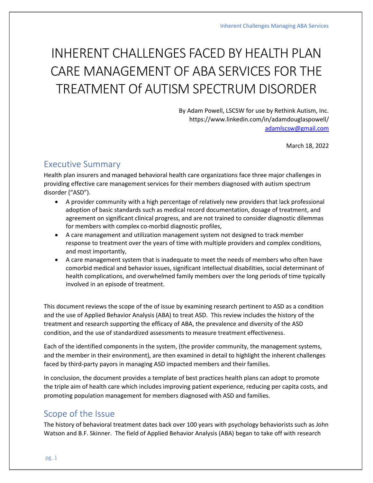# INHERENT CHALLENGES FACED BY HEALTH PLAN CARE MANAGEMENT OF ABA SERVICES FOR THE TREATMENT Of AUTISM SPECTRUM DISORDER

By Adam Powell, LSCSW for use by Rethink Autism, Inc. https://www.linkedin.com/in/adamdouglaspowell/ [adamlscsw@gmail.com](mailto:adamlscsw@gmail.com)

March 18, 2022

## Executive Summary

Health plan insurers and managed behavioral health care organizations face three major challenges in providing effective care management services for their members diagnosed with autism spectrum disorder ("ASD").

- A provider community with a high percentage of relatively new providers that lack professional adoption of basic standards such as medical record documentation, dosage of treatment, and agreement on significant clinical progress, and are not trained to consider diagnostic dilemmas for members with complex co-morbid diagnostic profiles,
- A care management and utilization management system not designed to track member response to treatment over the years of time with multiple providers and complex conditions, and most importantly,
- A care management system that is inadequate to meet the needs of members who often have comorbid medical and behavior issues, significant intellectual disabilities, social determinant of health complications, and overwhelmed family members over the long periods of time typically involved in an episode of treatment.

This document reviews the scope of the of issue by examining research pertinent to ASD as a condition and the use of Applied Behavior Analysis (ABA) to treat ASD. This review includes the history of the treatment and research supporting the efficacy of ABA, the prevalence and diversity of the ASD condition, and the use of standardized assessments to measure treatment effectiveness.

Each of the identified components in the system, (the provider community, the management systems, and the member in their environment), are then examined in detail to highlight the inherent challenges faced by third-party payors in managing ASD impacted members and their families.

In conclusion, the document provides a template of best practices health plans can adopt to promote the triple aim of health care which includes improving patient experience, reducing per capita costs, and promoting population management for members diagnosed with ASD and families.

# Scope of the Issue

The history of behavioral treatment dates back over 100 years with psychology behaviorists such as John Watson and B.F. Skinner. The field of Applied Behavior Analysis (ABA) began to take off with research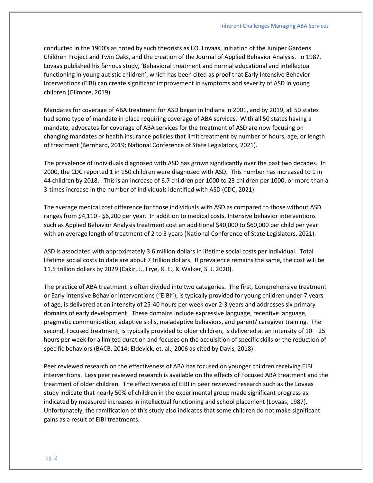conducted in the 1960's as noted by such theorists as I.O. Lovaas, initiation of the Juniper Gardens Children Project and Twin Oaks, and the creation of the Journal of Applied Behavior Analysis. In 1987, Lovaas published his famous study, 'Behavioral treatment and normal educational and intellectual functioning in young autistic children', which has been cited as proof that Early Intensive Behavior Interventions (EIBI) can create significant improvement in symptoms and severity of ASD in young children (Gilmore, 2019).

Mandates for coverage of ABA treatment for ASD began in Indiana in 2001, and by 2019, all 50 states had some type of mandate in place requiring coverage of ABA services. With all 50 states having a mandate, advocates for coverage of ABA services for the treatment of ASD are now focusing on changing mandates or health insurance policies that limit treatment by number of hours, age, or length of treatment (Bernhard, 2019; National Conference of State Legislators, 2021).

The prevalence of individuals diagnosed with ASD has grown significantly over the past two decades. In 2000, the CDC reported 1 in 150 children were diagnosed with ASD. This number has increased to 1 in 44 children by 2018. This is an increase of 6.7 children per 1000 to 23 children per 1000, or more than a 3-times increase in the number of individuals identified with ASD (CDC, 2021).

The average medical cost difference for those individuals with ASD as compared to those without ASD ranges from \$4,110 - \$6,200 per year. In addition to medical costs, Intensive behavior interventions such as Applied Behavior Analysis treatment cost an additional \$40,000 to \$60,000 per child per year with an average length of treatment of 2 to 3 years (National Conference of State Legislators, 2021).

ASD is associated with approximately 3.6 million dollars in lifetime social costs per individual. Total lifetime social costs to date are about 7 trillion dollars. If prevalence remains the same, the cost will be 11.5 trillion dollars by 2029 (Cakir, J., Frye, R. E., & Walker, S. J. 2020).

The practice of ABA treatment is often divided into two categories. The first, Comprehensive treatment or Early Intensive Behavior Interventions ("EIBI"), is typically provided for young children under 7 years of age, is delivered at an intensity of 25-40 hours per week over 2-3 years and addresses six primary domains of early development. These domains include expressive language, receptive language, pragmatic communication, adaptive skills, maladaptive behaviors, and parent/ caregiver training. The second, Focused treatment, is typically provided to older children, is delivered at an intensity of 10 – 25 hours per week for a limited duration and focuses on the acquisition of specific skills or the reduction of specific behaviors (BACB, 2014; Eldevick, et. al., 2006 as cited by Davis, 2018)

Peer reviewed research on the effectiveness of ABA has focused on younger children receiving EIBI interventions. Less peer reviewed research is available on the effects of Focused ABA treatment and the treatment of older children. The effectiveness of EIBI in peer reviewed research such as the Lovaas study indicate that nearly 50% of children in the experimental group made significant progress as indicated by measured increases in intellectual functioning and school placement (Lovaas, 1987). Unfortunately, the ramification of this study also indicates that some children do not make significant gains as a result of EIBI treatments.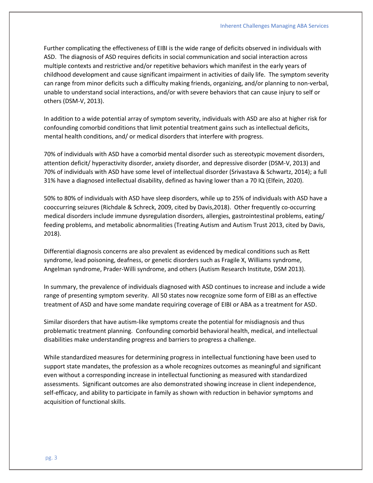Further complicating the effectiveness of EIBI is the wide range of deficits observed in individuals with ASD. The diagnosis of ASD requires deficits in social communication and social interaction across multiple contexts and restrictive and/or repetitive behaviors which manifest in the early years of childhood development and cause significant impairment in activities of daily life. The symptom severity can range from minor deficits such a difficulty making friends, organizing, and/or planning to non-verbal, unable to understand social interactions, and/or with severe behaviors that can cause injury to self or others (DSM-V, 2013).

In addition to a wide potential array of symptom severity, individuals with ASD are also at higher risk for confounding comorbid conditions that limit potential treatment gains such as intellectual deficits, mental health conditions, and/ or medical disorders that interfere with progress.

70% of individuals with ASD have a comorbid mental disorder such as stereotypic movement disorders, attention deficit/ hyperactivity disorder, anxiety disorder, and depressive disorder (DSM-V, 2013) and 70% of individuals with ASD have some level of intellectual disorder (Srivastava & Schwartz, 2014); a full 31% have a diagnosed intellectual disability, defined as having lower than a 70 IQ (Elfein, 2020).

50% to 80% of individuals with ASD have sleep disorders, while up to 25% of individuals with ASD have a cooccurring seizures (Richdale & Schreck, 2009, cited by Davis,2018). Other frequently co-occurring medical disorders include immune dysregulation disorders, allergies, gastrointestinal problems, eating/ feeding problems, and metabolic abnormalities (Treating Autism and Autism Trust 2013, cited by Davis, 2018).

Differential diagnosis concerns are also prevalent as evidenced by medical conditions such as Rett syndrome, lead poisoning, deafness, or genetic disorders such as Fragile X, Williams syndrome, Angelman syndrome, Prader-Willi syndrome, and others (Autism Research Institute, DSM 2013).

In summary, the prevalence of individuals diagnosed with ASD continues to increase and include a wide range of presenting symptom severity. All 50 states now recognize some form of EIBI as an effective treatment of ASD and have some mandate requiring coverage of EIBI or ABA as a treatment for ASD.

Similar disorders that have autism-like symptoms create the potential for misdiagnosis and thus problematic treatment planning. Confounding comorbid behavioral health, medical, and intellectual disabilities make understanding progress and barriers to progress a challenge.

While standardized measures for determining progress in intellectual functioning have been used to support state mandates, the profession as a whole recognizes outcomes as meaningful and significant even without a corresponding increase in intellectual functioning as measured with standardized assessments. Significant outcomes are also demonstrated showing increase in client independence, self-efficacy, and ability to participate in family as shown with reduction in behavior symptoms and acquisition of functional skills.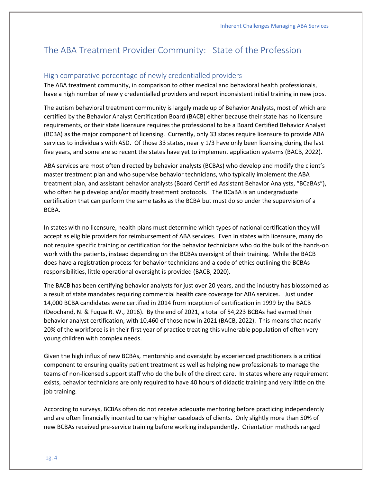# The ABA Treatment Provider Community: State of the Profession

#### High comparative percentage of newly credentialled providers

The ABA treatment community, in comparison to other medical and behavioral health professionals, have a high number of newly credentialled providers and report inconsistent initial training in new jobs.

The autism behavioral treatment community is largely made up of Behavior Analysts, most of which are certified by the Behavior Analyst Certification Board (BACB) either because their state has no licensure requirements, or their state licensure requires the professional to be a Board Certified Behavior Analyst (BCBA) as the major component of licensing. Currently, only 33 states require licensure to provide ABA services to individuals with ASD. Of those 33 states, nearly 1/3 have only been licensing during the last five years, and some are so recent the states have yet to implement application systems (BACB, 2022).

ABA services are most often directed by behavior analysts (BCBAs) who develop and modify the client's master treatment plan and who supervise behavior technicians, who typically implement the ABA treatment plan, and assistant behavior analysts (Board Certified Assistant Behavior Analysts, "BCaBAs"), who often help develop and/or modify treatment protocols. The BCaBA is an undergraduate certification that can perform the same tasks as the BCBA but must do so under the supervision of a BCBA.

In states with no licensure, health plans must determine which types of national certification they will accept as eligible providers for reimbursement of ABA services. Even in states with licensure, many do not require specific training or certification for the behavior technicians who do the bulk of the hands-on work with the patients, instead depending on the BCBAs oversight of their training. While the BACB does have a registration process for behavior technicians and a code of ethics outlining the BCBAs responsibilities, little operational oversight is provided (BACB, 2020).

The BACB has been certifying behavior analysts for just over 20 years, and the industry has blossomed as a result of state mandates requiring commercial health care coverage for ABA services. Just under 14,000 BCBA candidates were certified in 2014 from inception of certification in 1999 by the BACB (Deochand, N. & Fuqua R. W., 2016). By the end of 2021, a total of 54,223 BCBAs had earned their behavior analyst certification, with 10,460 of those new in 2021 (BACB, 2022). This means that nearly 20% of the workforce is in their first year of practice treating this vulnerable population of often very young children with complex needs.

Given the high influx of new BCBAs, mentorship and oversight by experienced practitioners is a critical component to ensuring quality patient treatment as well as helping new professionals to manage the teams of non-licensed support staff who do the bulk of the direct care. In states where any requirement exists, behavior technicians are only required to have 40 hours of didactic training and very little on the job training.

According to surveys, BCBAs often do not receive adequate mentoring before practicing independently and are often financially incented to carry higher caseloads of clients. Only slightly more than 50% of new BCBAs received pre-service training before working independently. Orientation methods ranged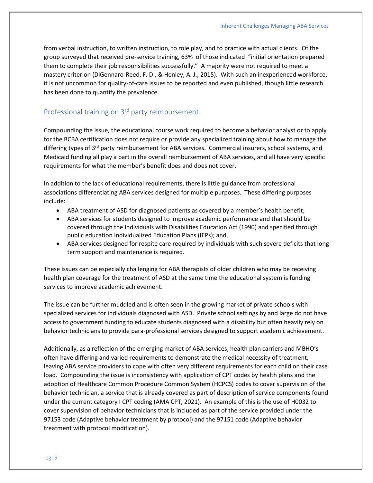from verbal instruction, to written instruction, to role play, and to practice with actual clients. Of the group surveyed that received pre-service training, 63% of those indicated "initial orientation prepared them to complete their job responsibilities successfully." A majority were not required to meet a mastery criterion (DiGennaro-Reed, F. D., & Henley, A. J., 2015). With such an inexperienced workforce, it is not uncommon for quality-of-care issues to be reported and even published, though little research has been done to quantify the prevalence.

## Professional training on 3rd party reimbursement

Compounding the issue, the educational course work required to become a behavior analyst or to apply for the BCBA certification does not require or provide any specialized training about how to manage the differing types of 3<sup>rd</sup> party reimbursement for ABA services. Commercial insurers, school systems, and Medicaid funding all play a part in the overall reimbursement of ABA services, and all have very specific requirements for what the member's benefit does and does not cover.

In addition to the lack of educational requirements, there is little guidance from professional associations differentiating ABA services designed for multiple purposes. These differing purposes include:

- ABA treatment of ASD for diagnosed patients as covered by a member's health benefit;
- ABA services for students designed to improve academic performance and that should be covered through the Individuals with Disabilities Education Act (1990) and specified through public education Individualized Education Plans (IEPs); and,
- ABA services designed for respite care required by individuals with such severe deficits that long term support and maintenance is required.

These issues can be especially challenging for ABA therapists of older children who may be receiving health plan coverage for the treatment of ASD at the same time the educational system is funding services to improve academic achievement.

The issue can be further muddled and is often seen in the growing market of private schools with specialized services for individuals diagnosed with ASD. Private school settings by and large do not have access to government funding to educate students diagnosed with a disability but often heavily rely on behavior technicians to provide para-professional services designed to support academic achievement.

Additionally, as a reflection of the emerging market of ABA services, health plan carriers and MBHO's often have differing and varied requirements to demonstrate the medical necessity of treatment, leaving ABA service providers to cope with often very different requirements for each child on their case load. Compounding the issue is inconsistency with application of CPT codes by health plans and the adoption of Healthcare Common Procedure Common System (HCPCS) codes to cover supervision of the behavior technician, a service that is already covered as part of description of service components found under the current category I CPT coding (AMA CPT, 2021). An example of this is the use of H0032 to cover supervision of behavior technicians that is included as part of the service provided under the 97153 code (Adaptive behavior treatment by protocol) and the 97151 code (Adaptive behavior treatment with protocol modification).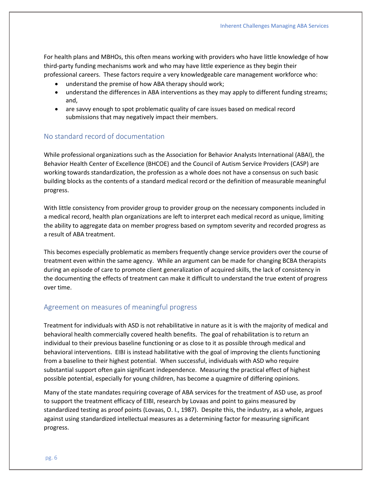For health plans and MBHOs, this often means working with providers who have little knowledge of how third-party funding mechanisms work and who may have little experience as they begin their professional careers. These factors require a very knowledgeable care management workforce who:

- understand the premise of how ABA therapy should work;
- understand the differences in ABA interventions as they may apply to different funding streams; and,
- are savvy enough to spot problematic quality of care issues based on medical record submissions that may negatively impact their members.

#### No standard record of documentation

While professional organizations such as the Association for Behavior Analysts International (ABAI), the Behavior Health Center of Excellence (BHCOE) and the Council of Autism Service Providers (CASP) are working towards standardization, the profession as a whole does not have a consensus on such basic building blocks as the contents of a standard medical record or the definition of measurable meaningful progress.

With little consistency from provider group to provider group on the necessary components included in a medical record, health plan organizations are left to interpret each medical record as unique, limiting the ability to aggregate data on member progress based on symptom severity and recorded progress as a result of ABA treatment.

This becomes especially problematic as members frequently change service providers over the course of treatment even within the same agency. While an argument can be made for changing BCBA therapists during an episode of care to promote client generalization of acquired skills, the lack of consistency in the documenting the effects of treatment can make it difficult to understand the true extent of progress over time.

#### Agreement on measures of meaningful progress

Treatment for individuals with ASD is not rehabilitative in nature as it is with the majority of medical and behavioral health commercially covered health benefits. The goal of rehabilitation is to return an individual to their previous baseline functioning or as close to it as possible through medical and behavioral interventions. EIBI is instead habilitative with the goal of improving the clients functioning from a baseline to their highest potential. When successful, individuals with ASD who require substantial support often gain significant independence. Measuring the practical effect of highest possible potential, especially for young children, has become a quagmire of differing opinions.

Many of the state mandates requiring coverage of ABA services for the treatment of ASD use, as proof to support the treatment efficacy of EIBI, research by Lovaas and point to gains measured by standardized testing as proof points (Lovaas, O. I., 1987). Despite this, the industry, as a whole, argues against using standardized intellectual measures as a determining factor for measuring significant progress.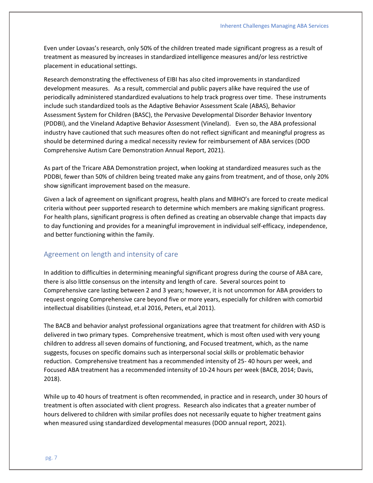Even under Lovaas's research, only 50% of the children treated made significant progress as a result of treatment as measured by increases in standardized intelligence measures and/or less restrictive placement in educational settings.

Research demonstrating the effectiveness of EIBI has also cited improvements in standardized development measures. As a result, commercial and public payers alike have required the use of periodically administered standardized evaluations to help track progress over time. These instruments include such standardized tools as the Adaptive Behavior Assessment Scale (ABAS), Behavior Assessment System for Children (BASC), the Pervasive Developmental Disorder Behavior Inventory (PDDBI), and the Vineland Adaptive Behavior Assessment (Vineland). Even so, the ABA professional industry have cautioned that such measures often do not reflect significant and meaningful progress as should be determined during a medical necessity review for reimbursement of ABA services (DOD Comprehensive Autism Care Demonstration Annual Report, 2021).

As part of the Tricare ABA Demonstration project, when looking at standardized measures such as the PDDBI, fewer than 50% of children being treated make any gains from treatment, and of those, only 20% show significant improvement based on the measure.

Given a lack of agreement on significant progress, health plans and MBHO's are forced to create medical criteria without peer supported research to determine which members are making significant progress. For health plans, significant progress is often defined as creating an observable change that impacts day to day functioning and provides for a meaningful improvement in individual self-efficacy, independence, and better functioning within the family.

#### Agreement on length and intensity of care

In addition to difficulties in determining meaningful significant progress during the course of ABA care, there is also little consensus on the intensity and length of care. Several sources point to Comprehensive care lasting between 2 and 3 years; however, it is not uncommon for ABA providers to request ongoing Comprehensive care beyond five or more years, especially for children with comorbid intellectual disabilities (Linstead, et.al 2016, Peters, et,al 2011).

The BACB and behavior analyst professional organizations agree that treatment for children with ASD is delivered in two primary types. Comprehensive treatment, which is most often used with very young children to address all seven domains of functioning, and Focused treatment, which, as the name suggests, focuses on specific domains such as interpersonal social skills or problematic behavior reduction. Comprehensive treatment has a recommended intensity of 25- 40 hours per week, and Focused ABA treatment has a recommended intensity of 10-24 hours per week (BACB, 2014; Davis, 2018).

While up to 40 hours of treatment is often recommended, in practice and in research, under 30 hours of treatment is often associated with client progress. Research also indicates that a greater number of hours delivered to children with similar profiles does not necessarily equate to higher treatment gains when measured using standardized developmental measures (DOD annual report, 2021).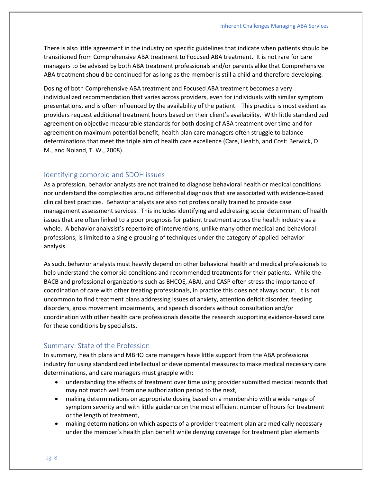There is also little agreement in the industry on specific guidelines that indicate when patients should be transitioned from Comprehensive ABA treatment to Focused ABA treatment. It is not rare for care managers to be advised by both ABA treatment professionals and/or parents alike that Comprehensive ABA treatment should be continued for as long as the member is still a child and therefore developing.

Dosing of both Comprehensive ABA treatment and Focused ABA treatment becomes a very individualized recommendation that varies across providers, even for individuals with similar symptom presentations, and is often influenced by the availability of the patient. This practice is most evident as providers request additional treatment hours based on their client's availability. With little standardized agreement on objective measurable standards for both dosing of ABA treatment over time and for agreement on maximum potential benefit, health plan care managers often struggle to balance determinations that meet the triple aim of health care excellence (Care, Health, and Cost: Berwick, D. M., and Noland, T. W., 2008).

#### Identifying comorbid and SDOH issues

As a profession, behavior analysts are not trained to diagnose behavioral health or medical conditions nor understand the complexities around differential diagnosis that are associated with evidence-based clinical best practices. Behavior analysts are also not professionally trained to provide case management assessment services. This includes identifying and addressing social determinant of health issues that are often linked to a poor prognosis for patient treatment across the health industry as a whole. A behavior analysist's repertoire of interventions, unlike many other medical and behavioral professions, is limited to a single grouping of techniques under the category of applied behavior analysis.

As such, behavior analysts must heavily depend on other behavioral health and medical professionals to help understand the comorbid conditions and recommended treatments for their patients. While the BACB and professional organizations such as BHCOE, ABAI, and CASP often stress the importance of coordination of care with other treating professionals, in practice this does not always occur. It is not uncommon to find treatment plans addressing issues of anxiety, attention deficit disorder, feeding disorders, gross movement impairments, and speech disorders without consultation and/or coordination with other health care professionals despite the research supporting evidence-based care for these conditions by specialists.

#### Summary: State of the Profession

In summary, health plans and MBHO care managers have little support from the ABA professional industry for using standardized intellectual or developmental measures to make medical necessary care determinations, and care managers must grapple with:

- understanding the effects of treatment over time using provider submitted medical records that may not match well from one authorization period to the next,
- making determinations on appropriate dosing based on a membership with a wide range of symptom severity and with little guidance on the most efficient number of hours for treatment or the length of treatment,
- making determinations on which aspects of a provider treatment plan are medically necessary under the member's health plan benefit while denying coverage for treatment plan elements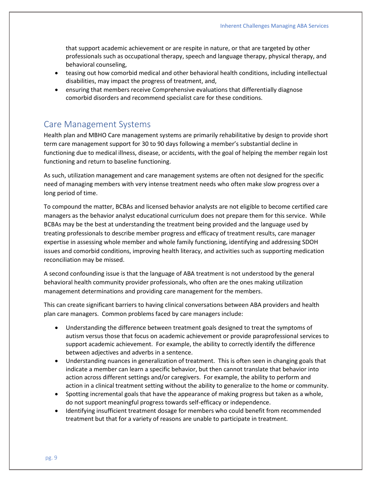that support academic achievement or are respite in nature, or that are targeted by other professionals such as occupational therapy, speech and language therapy, physical therapy, and behavioral counseling,

- teasing out how comorbid medical and other behavioral health conditions, including intellectual disabilities, may impact the progress of treatment, and,
- ensuring that members receive Comprehensive evaluations that differentially diagnose comorbid disorders and recommend specialist care for these conditions.

### Care Management Systems

Health plan and MBHO Care management systems are primarily rehabilitative by design to provide short term care management support for 30 to 90 days following a member's substantial decline in functioning due to medical illness, disease, or accidents, with the goal of helping the member regain lost functioning and return to baseline functioning.

As such, utilization management and care management systems are often not designed for the specific need of managing members with very intense treatment needs who often make slow progress over a long period of time.

To compound the matter, BCBAs and licensed behavior analysts are not eligible to become certified care managers as the behavior analyst educational curriculum does not prepare them for this service. While BCBAs may be the best at understanding the treatment being provided and the language used by treating professionals to describe member progress and efficacy of treatment results, care manager expertise in assessing whole member and whole family functioning, identifying and addressing SDOH issues and comorbid conditions, improving health literacy, and activities such as supporting medication reconciliation may be missed.

A second confounding issue is that the language of ABA treatment is not understood by the general behavioral health community provider professionals, who often are the ones making utilization management determinations and providing care management for the members.

This can create significant barriers to having clinical conversations between ABA providers and health plan care managers. Common problems faced by care managers include:

- Understanding the difference between treatment goals designed to treat the symptoms of autism versus those that focus on academic achievement or provide paraprofessional services to support academic achievement. For example, the ability to correctly identify the difference between adjectives and adverbs in a sentence.
- Understanding nuances in generalization of treatment. This is often seen in changing goals that indicate a member can learn a specific behavior, but then cannot translate that behavior into action across different settings and/or caregivers. For example, the ability to perform and action in a clinical treatment setting without the ability to generalize to the home or community.
- Spotting incremental goals that have the appearance of making progress but taken as a whole, do not support meaningful progress towards self-efficacy or independence.
- Identifying insufficient treatment dosage for members who could benefit from recommended treatment but that for a variety of reasons are unable to participate in treatment.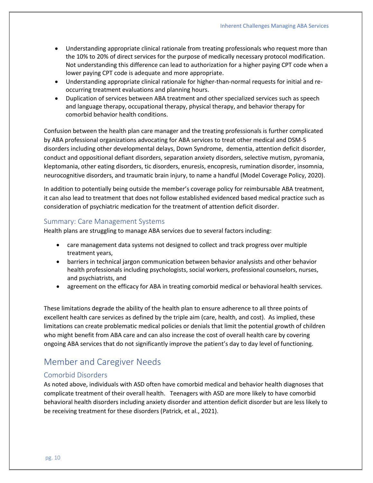- Understanding appropriate clinical rationale from treating professionals who request more than the 10% to 20% of direct services for the purpose of medically necessary protocol modification. Not understanding this difference can lead to authorization for a higher paying CPT code when a lower paying CPT code is adequate and more appropriate.
- Understanding appropriate clinical rationale for higher-than-normal requests for initial and reoccurring treatment evaluations and planning hours.
- Duplication of services between ABA treatment and other specialized services such as speech and language therapy, occupational therapy, physical therapy, and behavior therapy for comorbid behavior health conditions.

Confusion between the health plan care manager and the treating professionals is further complicated by ABA professional organizations advocating for ABA services to treat other medical and DSM-5 disorders including other developmental delays, Down Syndrome, dementia, attention deficit disorder, conduct and oppositional defiant disorders, separation anxiety disorders, selective mutism, pyromania, kleptomania, other eating disorders, tic disorders, enuresis, encopresis, rumination disorder, insomnia, neurocognitive disorders, and traumatic brain injury, to name a handful (Model Coverage Policy, 2020).

In addition to potentially being outside the member's coverage policy for reimbursable ABA treatment, it can also lead to treatment that does not follow established evidenced based medical practice such as consideration of psychiatric medication for the treatment of attention deficit disorder.

#### Summary: Care Management Systems

Health plans are struggling to manage ABA services due to several factors including:

- care management data systems not designed to collect and track progress over multiple treatment years,
- barriers in technical jargon communication between behavior analysists and other behavior health professionals including psychologists, social workers, professional counselors, nurses, and psychiatrists, and
- agreement on the efficacy for ABA in treating comorbid medical or behavioral health services.

These limitations degrade the ability of the health plan to ensure adherence to all three points of excellent health care services as defined by the triple aim (care, health, and cost). As implied, these limitations can create problematic medical policies or denials that limit the potential growth of children who might benefit from ABA care and can also increase the cost of overall health care by covering ongoing ABA services that do not significantly improve the patient's day to day level of functioning.

## Member and Caregiver Needs

#### Comorbid Disorders

As noted above, individuals with ASD often have comorbid medical and behavior health diagnoses that complicate treatment of their overall health. Teenagers with ASD are more likely to have comorbid behavioral health disorders including anxiety disorder and attention deficit disorder but are less likely to be receiving treatment for these disorders (Patrick, et al., 2021).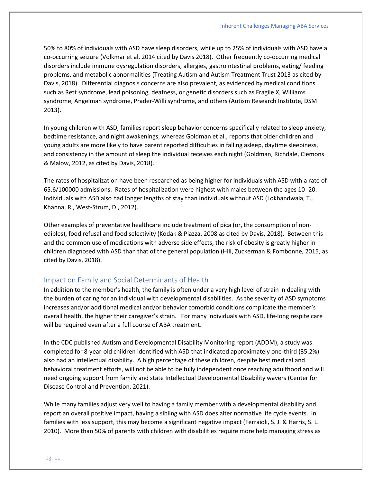50% to 80% of individuals with ASD have sleep disorders, while up to 25% of individuals with ASD have a co-occurring seizure (Volkmar et al, 2014 cited by Davis 2018). Other frequently co-occurring medical disorders include immune dysregulation disorders, allergies, gastrointestinal problems, eating/ feeding problems, and metabolic abnormalities (Treating Autism and Autism Treatment Trust 2013 as cited by Davis, 2018). Differential diagnosis concerns are also prevalent, as evidenced by medical conditions such as Rett syndrome, lead poisoning, deafness, or genetic disorders such as Fragile X, Williams syndrome, Angelman syndrome, Prader-Willi syndrome, and others (Autism Research Institute, DSM 2013).

In young children with ASD, families report sleep behavior concerns specifically related to sleep anxiety, bedtime resistance, and night awakenings, whereas Goldman et al., reports that older children and young adults are more likely to have parent reported difficulties in falling asleep, daytime sleepiness, and consistency in the amount of sleep the individual receives each night (Goldman, Richdale, Clemons & Malow, 2012, as cited by Davis, 2018).

The rates of hospitalization have been researched as being higher for individuals with ASD with a rate of 65.6/100000 admissions. Rates of hospitalization were highest with males between the ages 10 -20. Individuals with ASD also had longer lengths of stay than individuals without ASD (Lokhandwala, T., Khanna, R., West-Strum, D., 2012).

Other examples of preventative healthcare include treatment of pica (or, the consumption of nonedibles), food refusal and food selectivity (Kodak & Piazza, 2008 as cited by Davis, 2018). Between this and the common use of medications with adverse side effects, the risk of obesity is greatly higher in children diagnosed with ASD than that of the general population (Hill, Zuckerman & Fombonne, 2015, as cited by Davis, 2018).

#### Impact on Family and Social Determinants of Health

In addition to the member's health, the family is often under a very high level of strain in dealing with the burden of caring for an individual with developmental disabilities. As the severity of ASD symptoms increases and/or additional medical and/or behavior comorbid conditions complicate the member's overall health, the higher their caregiver's strain. For many individuals with ASD, life-long respite care will be required even after a full course of ABA treatment.

In the CDC published Autism and Developmental Disability Monitoring report (ADDM), a study was completed for 8-year-old children identified with ASD that indicated approximately one-third (35.2%) also had an intellectual disability. A high percentage of these children, despite best medical and behavioral treatment efforts, will not be able to be fully independent once reaching adulthood and will need ongoing support from family and state Intellectual Developmental Disability wavers (Center for Disease Control and Prevention, 2021).

While many families adjust very well to having a family member with a developmental disability and report an overall positive impact, having a sibling with ASD does alter normative life cycle events. In families with less support, this may become a significant negative impact (Ferraioli, S. J. & Harris, S. L. 2010). More than 50% of parents with children with disabilities require more help managing stress as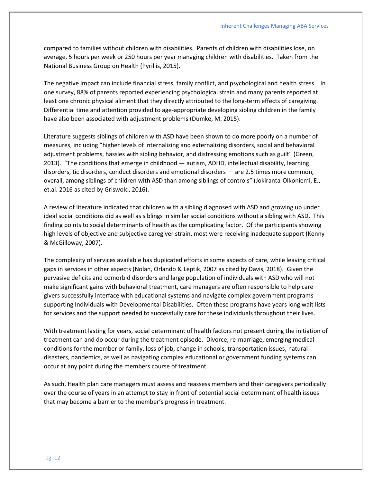compared to families without children with disabilities. Parents of children with disabilities lose, on average, 5 hours per week or 250 hours per year managing children with disabilities. Taken from the National Business Group on Health (Pyrillis, 2015).

The negative impact can include financial stress, family conflict, and psychological and health stress. In one survey, 88% of parents reported experiencing psychological strain and many parents reported at least one chronic physical aliment that they directly attributed to the long-term effects of caregiving. Differential time and attention provided to age-appropriate developing sibling children in the family have also been associated with adjustment problems (Dumke, M. 2015).

Literature suggests siblings of children with ASD have been shown to do more poorly on a number of measures, including "higher levels of internalizing and externalizing disorders, social and behavioral adjustment problems, hassles with sibling behavior, and distressing emotions such as guilt" (Green, 2013). "The conditions that emerge in childhood — autism, ADHD, intellectual disability, learning disorders, tic disorders, conduct disorders and emotional disorders — are 2.5 times more common, overall, among siblings of children with ASD than among siblings of controls" (Jokiranta-Olkoniemi, E., et.al. 2016 as cited by Griswold, 2016).

A review of literature indicated that children with a sibling diagnosed with ASD and growing up under ideal social conditions did as well as siblings in similar social conditions without a sibling with ASD. This finding points to social determinants of health as the complicating factor. Of the participants showing high levels of objective and subjective caregiver strain, most were receiving inadequate support (Kenny & McGilloway, 2007).

The complexity of services available has duplicated efforts in some aspects of care, while leaving critical gaps in services in other aspects (Nolan, Orlando & Leptik, 2007 as cited by Davis, 2018). Given the pervasive deficits and comorbid disorders and large population of individuals with ASD who will not make significant gains with behavioral treatment, care managers are often responsible to help care givers successfully interface with educational systems and navigate complex government programs supporting Individuals with Developmental Disabilities. Often these programs have years long wait lists for services and the support needed to successfully care for these individuals throughout their lives.

With treatment lasting for years, social determinant of health factors not present during the initiation of treatment can and do occur during the treatment episode. Divorce, re-marriage, emerging medical conditions for the member or family, loss of job, change in schools, transportation issues, natural disasters, pandemics, as well as navigating complex educational or government funding systems can occur at any point during the members course of treatment.

As such, Health plan care managers must assess and reassess members and their caregivers periodically over the course of years in an attempt to stay in front of potential social determinant of health issues that may become a barrier to the member's progress in treatment.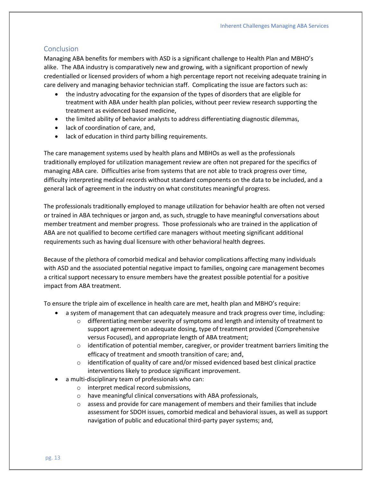#### Conclusion

Managing ABA benefits for members with ASD is a significant challenge to Health Plan and MBHO's alike. The ABA industry is comparatively new and growing, with a significant proportion of newly credentialled or licensed providers of whom a high percentage report not receiving adequate training in care delivery and managing behavior technician staff. Complicating the issue are factors such as:

- the industry advocating for the expansion of the types of disorders that are eligible for treatment with ABA under health plan policies, without peer review research supporting the treatment as evidenced based medicine,
- the limited ability of behavior analysts to address differentiating diagnostic dilemmas,
- lack of coordination of care, and,
- lack of education in third party billing requirements.

The care management systems used by health plans and MBHOs as well as the professionals traditionally employed for utilization management review are often not prepared for the specifics of managing ABA care. Difficulties arise from systems that are not able to track progress over time, difficulty interpreting medical records without standard components on the data to be included, and a general lack of agreement in the industry on what constitutes meaningful progress.

The professionals traditionally employed to manage utilization for behavior health are often not versed or trained in ABA techniques or jargon and, as such, struggle to have meaningful conversations about member treatment and member progress. Those professionals who are trained in the application of ABA are not qualified to become certified care managers without meeting significant additional requirements such as having dual licensure with other behavioral health degrees.

Because of the plethora of comorbid medical and behavior complications affecting many individuals with ASD and the associated potential negative impact to families, ongoing care management becomes a critical support necessary to ensure members have the greatest possible potential for a positive impact from ABA treatment.

To ensure the triple aim of excellence in health care are met, health plan and MBHO's require:

- a system of management that can adequately measure and track progress over time, including:
	- $\circ$  differentiating member severity of symptoms and length and intensity of treatment to support agreement on adequate dosing, type of treatment provided (Comprehensive versus Focused), and appropriate length of ABA treatment;
	- $\circ$  identification of potential member, caregiver, or provider treatment barriers limiting the efficacy of treatment and smooth transition of care; and,
	- $\circ$  identification of quality of care and/or missed evidenced based best clinical practice interventions likely to produce significant improvement.
- a multi-disciplinary team of professionals who can:
	- o interpret medical record submissions,
	- o have meaningful clinical conversations with ABA professionals,
	- $\circ$  assess and provide for care management of members and their families that include assessment for SDOH issues, comorbid medical and behavioral issues, as well as support navigation of public and educational third-party payer systems; and,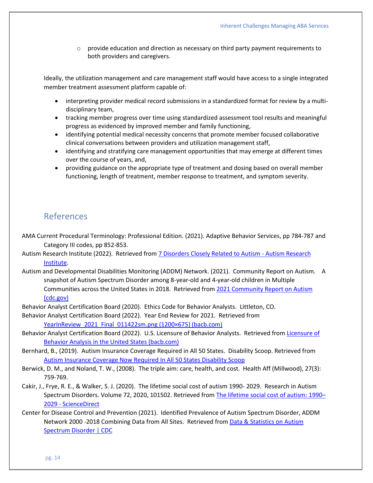$\circ$  provide education and direction as necessary on third party payment requirements to both providers and caregivers.

Ideally, the utilization management and care management staff would have access to a single integrated member treatment assessment platform capable of:

- interpreting provider medical record submissions in a standardized format for review by a multidisciplinary team,
- tracking member progress over time using standardized assessment tool results and meaningful progress as evidenced by improved member and family functioning,
- identifying potential medical necessity concerns that promote member focused collaborative clinical conversations between providers and utilization management staff,
- identifying and stratifying care management opportunities that may emerge at different times over the course of years, and,
- providing guidance on the appropriate type of treatment and dosing based on overall member functioning, length of treatment, member response to treatment, and symptom severity.

## References

- AMA Current Procedural Terminology: Professional Edition. (2021). Adaptive Behavior Services, pp 784-787 and Category III codes, pp 852-853.
- Autism Research Institute (2022). Retrieved from [7 Disorders Closely Related to Autism -](https://www.autism.org/related-disorders/) Autism Research [Institute.](https://www.autism.org/related-disorders/)
- Autism and Developmental Disabilities Monitoring (ADDM) Network. (2021). Community Report on Autism. A snapshot of Autism Spectrum Disorder among 8-year-old and 4-year-old children in Multiple Communities across the United States in 2018. Retrieved fro[m 2021 Community Report on Autism](https://www.cdc.gov/ncbddd/autism/addm-community-report/documents/ADDM-Community-Autism-Report-12-2-021_Final-H.pdf)  [\(cdc.gov\)](https://www.cdc.gov/ncbddd/autism/addm-community-report/documents/ADDM-Community-Autism-Report-12-2-021_Final-H.pdf)

Behavior Analyst Certification Board (2020). Ethics Code for Behavior Analysts. Littleton, CO.

Behavior Analyst Certification Board (2022). Year End Review for 2021. Retrieved from YearInReview 2021 Final 011422sm.png (1200×675) (bacb.com)

- Behavior Analyst Certification Board (2022). U.S. Licensure of Behavior Analysts. Retrieved fro[m Licensure of](https://www.bacb.com/u-s-licensure-of-behavior-analysts/)  [Behavior Analysis in the United States \(bacb.com\)](https://www.bacb.com/u-s-licensure-of-behavior-analysts/)
- Bernhard, B., (2019). Autism Insurance Coverage Required in All 50 States. Disability Scoop. Retrieved from [Autism Insurance Coverage Now Required In All 50 States Disability Scoop](https://www.disabilityscoop.com/2019/10/01/autism-insurance-coverage-now-required-50-states/27223/)
- Berwick, D. M., and Noland, T. W., (2008). The triple aim: care, health, and cost. Health Aff (Millwood), 27(3): 759-769.
- Cakir, J., Frye, R. E., & Walker, S. J. (2020). The lifetime social cost of autism 1990- 2029. Research in Autism Spectrum Disorders. Volume 72, 2020, 101502. Retrieved from [The lifetime social cost of autism: 1990](https://www.sciencedirect.com/science/article/abs/pii/S1750946719301904)-2029 - [ScienceDirect](https://www.sciencedirect.com/science/article/abs/pii/S1750946719301904)
- Center for Disease Control and Prevention (2021). Identified Prevalence of Autism Spectrum Disorder, ADDM Network 2000 -2018 Combining Data from All Sites. Retrieved from [Data & Statistics on Autism](https://www.cdc.gov/ncbddd/autism/data.html)  [Spectrum Disorder | CDC](https://www.cdc.gov/ncbddd/autism/data.html)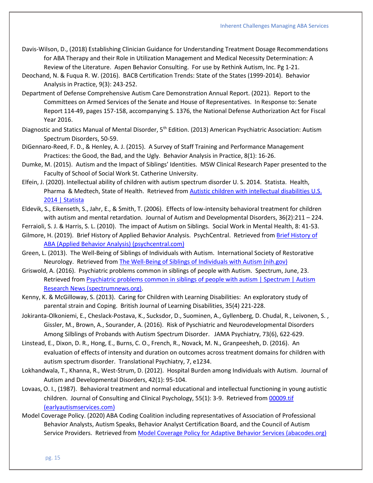- Davis-Wilson, D., (2018) Establishing Clinician Guidance for Understanding Treatment Dosage Recommendations for ABA Therapy and their Role in Utilization Management and Medical Necessity Determination: A Review of the Literature. Aspen Behavior Consulting. For use by Rethink Autism, Inc. Pg 1-21.
- Deochand, N. & Fuqua R. W. (2016). BACB Certification Trends: State of the States (1999-2014). Behavior Analysis in Practice, 9(3): 243-252.
- Department of Defense Comprehensive Autism Care Demonstration Annual Report. (2021). Report to the Committees on Armed Services of the Senate and House of Representatives. In Response to: Senate Report 114-49, pages 157-158, accompanying S. 1376, the National Defense Authorization Act for Fiscal Year 2016.
- Diagnostic and Statics Manual of Mental Disorder, 5<sup>th</sup> Edition. (2013) American Psychiatric Association: Autism Spectrum Disorders, 50-59.
- DiGennaro-Reed, F. D., & Henley, A. J. (2015). A Survey of Staff Training and Performance Management Practices: the Good, the Bad, and the Ugly. Behavior Analysis in Practice, 8(1): 16-26.
- Dumke, M. (2015). Autism and the Impact of Siblings' Identities. MSW Clinical Research Paper presented to the Faculty of School of Social Work St. Catherine University.
- Elfein, J. (2020). Intellectual ability of children with autism spectrum disorder U. S. 2014. Statista. Health, Pharma & Medtech, State of Health. Retrieved fro[m Autistic children with intellectual disabilities U.S.](https://www.statista.com/statistics/676141/autistic-children-with-intellectual-disabilities-us/)  [2014 | Statista](https://www.statista.com/statistics/676141/autistic-children-with-intellectual-disabilities-us/)
- Eldevik, S., Eikenseth, S., Jahr, E., & Smith, T. (2006). Effects of low-intensity behavioral treatment for children with autism and mental retardation. Journal of Autism and Developmental Disorders, 36(2):211 – 224.
- Ferraioli, S. J. & Harris, S. L. (2010). The impact of Autism on Siblings. Social Work in Mental Health, 8: 41-53.
- Gilmore, H. (2019). Brief History of Applied Behavior Analysis. PsychCentral. Retrieved from [Brief History of](https://psychcentral.com/pro/child-therapist/2019/02/brief-history-of-applied-behavior-analysis#1)  [ABA \(Applied Behavior Analysis\) \(psychcentral.com\)](https://psychcentral.com/pro/child-therapist/2019/02/brief-history-of-applied-behavior-analysis#1)
- Green, L. (2013). The Well-Being of Siblings of Individuals with Autism. International Society of Restorative Neurology. Retrieved from [The Well-Being of Siblings of Individuals with Autism \(nih.gov\)](https://www.ncbi.nlm.nih.gov/pmc/articles/PMC3657443/)
- Griswold, A. (2016). Psychiatric problems common in siblings of people with Autism. Spectrum, June, 23. Retrieved from [Psychiatric problems common in siblings of people with autism | Spectrum | Autism](https://www.spectrumnews.org/news/psychiatric-problems-common-in-siblings-of-people-with-autism/)  [Research News \(spectrumnews.org\).](https://www.spectrumnews.org/news/psychiatric-problems-common-in-siblings-of-people-with-autism/)
- Kenny, K. & McGilloway, S. (2013). Caring for Children with Learning Disabilities: An exploratory study of parental strain and Coping. British Journal of Learning Disabilities, 35(4) 221-228.
- Jokiranta-Olkoniemi, E., Cheslack-Postava, K., Sucksdor, D., Suominen, A., Gyllenberg, D. Chudal, R., Leivonen, S. , Gissler, M., Brown, A., Sourander, A. (2016). Risk of Pyschiatric and Neurodevelopmental Disorders Among Silblings of Probands with Autism Spectrum Disorder. JAMA Psychiatry, 73(6), 622-629.
- Linstead, E., Dixon, D. R., Hong, E., Burns, C. O., French, R., Novack, M. N., Granpeesheh, D. (2016). An evaluation of effects of intensity and duration on outcomes across treatment domains for children with autism spectrum disorder. Translational Psychiatry, 7, e1234.
- Lokhandwala, T., Khanna, R., West-Strum, D. (2012). Hospital Burden among Individuals with Autism. Journal of Autism and Developmental Disorders, 42(1): 95-104.
- Lovaas, O. I., (1987). Behavioral treatment and normal educational and intellectual functioning in young autistic children. Journal of Consulting and Clinical Psychology, 55(1): 3-9. Retrieved from [00009.tif](https://earlyautismservices.com/wp-content/uploads/2018/02/lovaas-1987.pdf)  [\(earlyautismservices.com\)](https://earlyautismservices.com/wp-content/uploads/2018/02/lovaas-1987.pdf)
- Model Coverage Policy. (2020) ABA Coding Coalition including representatives of Association of Professional Behavior Analysts, Autism Speaks, Behavior Analyst Certification Board, and the Council of Autism Service Providers. Retrieved from [Model Coverage Policy for Adaptive Behavior Services \(abacodes.org\)](https://abacodes.org/wp-content/uploads/2022/01/Model-Coverage-Policy-for-ABA-01.25.2022.pdf)